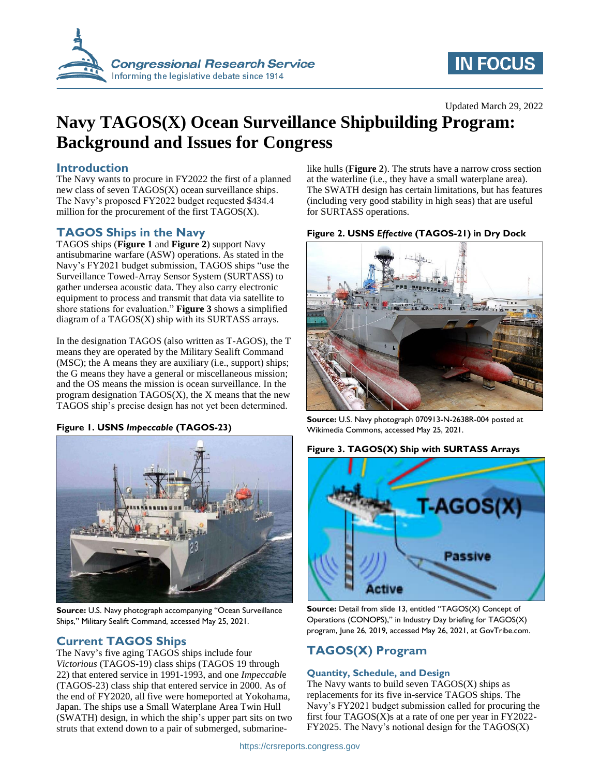

# **IN FOCUS**

## Updated March 29, 2022

# **Navy TAGOS(X) Ocean Surveillance Shipbuilding Program: Background and Issues for Congress**

# **Introduction**

The Navy wants to procure in FY2022 the first of a planned new class of seven TAGOS(X) ocean surveillance ships. The Navy's proposed FY2022 budget requested \$434.4 million for the procurement of the first TAGOS(X).

# **TAGOS Ships in the Navy**

TAGOS ships (**[Figure 1](#page-0-0)** and **[Figure 2](#page-0-1)**) support Navy antisubmarine warfare (ASW) operations. As stated in the Navy's FY2021 budget submission, TAGOS ships "use the Surveillance Towed-Array Sensor System (SURTASS) to gather undersea acoustic data. They also carry electronic equipment to process and transmit that data via satellite to shore stations for evaluation." **[Figure 3](#page-0-2)** shows a simplified diagram of a TAGOS(X) ship with its SURTASS arrays.

In the designation TAGOS (also written as T-AGOS), the T means they are operated by the Military Sealift Command (MSC); the A means they are auxiliary (i.e., support) ships; the G means they have a general or miscellaneous mission; and the OS means the mission is ocean surveillance. In the program designation TAGOS(X), the X means that the new TAGOS ship's precise design has not yet been determined.

## <span id="page-0-0"></span>**Figure 1. USNS** *Impeccable* **(TAGOS-23)**



**Source:** U.S. Navy photograph accompanying "Ocean Surveillance Ships," Military Sealift Command, accessed May 25, 2021.

# **Current TAGOS Ships**

The Navy's five aging TAGOS ships include four *Victorious* (TAGOS-19) class ships (TAGOS 19 through 22) that entered service in 1991-1993, and one *Impeccabl*e (TAGOS-23) class ship that entered service in 2000. As of the end of FY2020, all five were homeported at Yokohama, Japan. The ships use a Small Waterplane Area Twin Hull (SWATH) design, in which the ship's upper part sits on two struts that extend down to a pair of submerged, submarinelike hulls (**[Figure 2](#page-0-1)**). The struts have a narrow cross section at the waterline (i.e., they have a small waterplane area). The SWATH design has certain limitations, but has features (including very good stability in high seas) that are useful for SURTASS operations.

<span id="page-0-1"></span>



**Source:** U.S. Navy photograph 070913-N-2638R-004 posted at Wikimedia Commons, accessed May 25, 2021.

### <span id="page-0-2"></span>**Figure 3. TAGOS(X) Ship with SURTASS Arrays**



**Source:** Detail from slide 13, entitled "TAGOS(X) Concept of Operations (CONOPS)," in Industry Day briefing for TAGOS(X) program, June 26, 2019, accessed May 26, 2021, at GovTribe.com.

# **TAGOS(X) Program**

## **Quantity, Schedule, and Design**

The Navy wants to build seven TAGOS(X) ships as replacements for its five in-service TAGOS ships. The Navy's FY2021 budget submission called for procuring the first four TAGOS(X)s at a rate of one per year in FY2022- FY2025. The Navy's notional design for the TAGOS(X)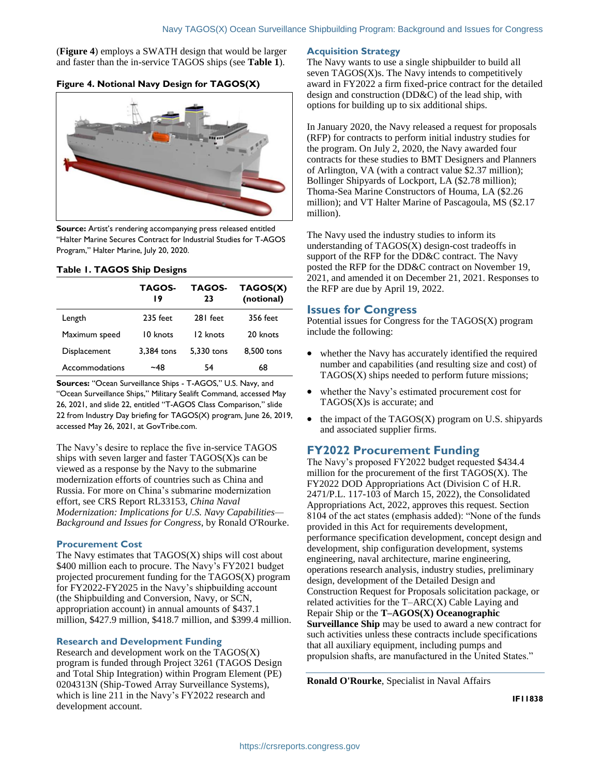(**[Figure 4](#page-1-0)**) employs a SWATH design that would be larger and faster than the in-service TAGOS ships (see **[Table 1](#page-1-1)**).

### <span id="page-1-0"></span>**Figure 4. Notional Navy Design for TAGOS(X)**



**Source:** Artist's rendering accompanying press released entitled "Halter Marine Secures Contract for Industrial Studies for T-AGOS Program," Halter Marine, July 20, 2020.

#### <span id="page-1-1"></span>**Table 1. TAGOS Ship Designs**

|                | TAGOS-<br>19 | <b>TAGOS-</b><br>23 | TAGOS(X)<br>(notional) |
|----------------|--------------|---------------------|------------------------|
| Length         | 235 feet     | 281 feet            | 356 feet               |
| Maximum speed  | 10 knots     | 12 knots            | 20 knots               |
| Displacement   | 3,384 tons   | 5.330 tons          | 8.500 tons             |
| Accommodations | ~48          | 54                  | 68                     |

**Sources:** "Ocean Surveillance Ships - T-AGOS," U.S. Navy, and "Ocean Surveillance Ships," Military Sealift Command, accessed May 26, 2021, and slide 22, entitled "T-AGOS Class Comparison," slide 22 from Industry Day briefing for TAGOS(X) program, June 26, 2019, accessed May 26, 2021, at GovTribe.com.

The Navy's desire to replace the five in-service TAGOS ships with seven larger and faster TAGOS(X)s can be viewed as a response by the Navy to the submarine modernization efforts of countries such as China and Russia. For more on China's submarine modernization effort, see CRS Report RL33153, *China Naval Modernization: Implications for U.S. Navy Capabilities— Background and Issues for Congress*, by Ronald O'Rourke.

### **Procurement Cost**

The Navy estimates that TAGOS(X) ships will cost about \$400 million each to procure. The Navy's FY2021 budget projected procurement funding for the TAGOS(X) program for FY2022-FY2025 in the Navy's shipbuilding account (the Shipbuilding and Conversion, Navy, or SCN, appropriation account) in annual amounts of \$437.1 million, \$427.9 million, \$418.7 million, and \$399.4 million.

### **Research and Development Funding**

Research and development work on the TAGOS(X) program is funded through Project 3261 (TAGOS Design and Total Ship Integration) within Program Element (PE) 0204313N (Ship-Towed Array Surveillance Systems), which is line 211 in the Navy's FY2022 research and development account.

#### **Acquisition Strategy**

The Navy wants to use a single shipbuilder to build all seven  $TAGOS(X)$ s. The Navy intends to competitively award in FY2022 a firm fixed-price contract for the detailed design and construction (DD&C) of the lead ship, with options for building up to six additional ships.

In January 2020, the Navy released a request for proposals (RFP) for contracts to perform initial industry studies for the program. On July 2, 2020, the Navy awarded four contracts for these studies to BMT Designers and Planners of Arlington, VA (with a contract value \$2.37 million); Bollinger Shipyards of Lockport, LA (\$2.78 million); Thoma-Sea Marine Constructors of Houma, LA (\$2.26 million); and VT Halter Marine of Pascagoula, MS (\$2.17 million).

The Navy used the industry studies to inform its understanding of TAGOS(X) design-cost tradeoffs in support of the RFP for the DD&C contract. The Navy posted the RFP for the DD&C contract on November 19, 2021, and amended it on December 21, 2021. Responses to the RFP are due by April 19, 2022.

### **Issues for Congress**

Potential issues for  $\overline{Congress}$  for the TAGOS $(X)$  program include the following:

- whether the Navy has accurately identified the required number and capabilities (and resulting size and cost) of TAGOS(X) ships needed to perform future missions;
- whether the Navy's estimated procurement cost for TAGOS(X)s is accurate; and
- $\bullet$  the impact of the TAGOS(X) program on U.S. shipyards and associated supplier firms.

# **FY2022 Procurement Funding**

The Navy's proposed FY2022 budget requested \$434.4 million for the procurement of the first TAGOS(X). The FY2022 DOD Appropriations Act (Division C of H.R. 2471/P.L. 117-103 of March 15, 2022), the Consolidated Appropriations Act, 2022, approves this request. Section 8104 of the act states (emphasis added): "None of the funds provided in this Act for requirements development, performance specification development, concept design and development, ship configuration development, systems engineering, naval architecture, marine engineering, operations research analysis, industry studies, preliminary design, development of the Detailed Design and Construction Request for Proposals solicitation package, or related activities for the T–ARC(X) Cable Laying and Repair Ship or the **T–AGOS(X) Oceanographic Surveillance Ship** may be used to award a new contract for such activities unless these contracts include specifications that all auxiliary equipment, including pumps and propulsion shafts, are manufactured in the United States."

**Ronald O'Rourke**, Specialist in Naval Affairs